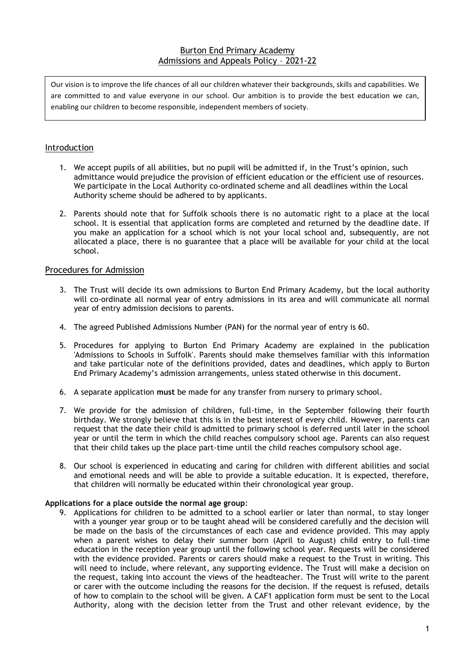# Burton End Primary Academy Admissions and Appeals Policy – 2021-22

Our vision is to improve the life chances of all our children whatever their backgrounds, skills and capabilities. We are committed to and value everyone in our school. Our ambition is to provide the best education we can, enabling our children to become responsible, independent members of society.

# Introduction

- 1. We accept pupils of all abilities, but no pupil will be admitted if, in the Trust's opinion, such admittance would prejudice the provision of efficient education or the efficient use of resources. We participate in the Local Authority co-ordinated scheme and all deadlines within the Local Authority scheme should be adhered to by applicants.
- 2. Parents should note that for Suffolk schools there is no automatic right to a place at the local school. It is essential that application forms are completed and returned by the deadline date. If you make an application for a school which is not your local school and, subsequently, are not allocated a place, there is no guarantee that a place will be available for your child at the local school.

# Procedures for Admission

- 3. The Trust will decide its own admissions to Burton End Primary Academy, but the local authority will co-ordinate all normal year of entry admissions in its area and will communicate all normal year of entry admission decisions to parents.
- 4. The agreed Published Admissions Number (PAN) for the normal year of entry is 60.
- 5. Procedures for applying to Burton End Primary Academy are explained in the publication 'Admissions to Schools in Suffolk'. Parents should make themselves familiar with this information and take particular note of the definitions provided, dates and deadlines, which apply to Burton End Primary Academy's admission arrangements, unless stated otherwise in this document.
- 6. A separate application **must** be made for any transfer from nursery to primary school.
- 7. We provide for the admission of children, full-time, in the September following their fourth birthday. We strongly believe that this is in the best interest of every child. However, parents can request that the date their child is admitted to primary school is deferred until later in the school year or until the term in which the child reaches compulsory school age. Parents can also request that their child takes up the place part-time until the child reaches compulsory school age.
- 8. Our school is experienced in educating and caring for children with different abilities and social and emotional needs and will be able to provide a suitable education. It is expected, therefore, that children will normally be educated within their chronological year group.

# **Applications for a place outside the normal age group**:

9. Applications for children to be admitted to a school earlier or later than normal, to stay longer with a younger year group or to be taught ahead will be considered carefully and the decision will be made on the basis of the circumstances of each case and evidence provided. This may apply when a parent wishes to delay their summer born (April to August) child entry to full-time education in the reception year group until the following school year. Requests will be considered with the evidence provided. Parents or carers should make a request to the Trust in writing. This will need to include, where relevant, any supporting evidence. The Trust will make a decision on the request, taking into account the views of the headteacher. The Trust will write to the parent or carer with the outcome including the reasons for the decision. If the request is refused, details of how to complain to the school will be given. A CAF1 application form must be sent to the Local Authority, along with the decision letter from the Trust and other relevant evidence, by the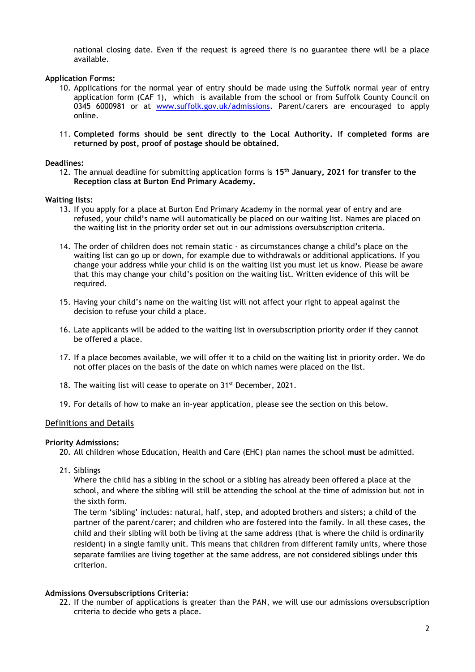national closing date. Even if the request is agreed there is no guarantee there will be a place available.

# **Application Forms:**

- 10. Applications for the normal year of entry should be made using the Suffolk normal year of entry application form (CAF 1), which is available from the school or from Suffolk County Council on 0345 6000981 or at [www.suffolk.gov.uk/admissions.](http://www.suffolk.gov.uk/admissions) Parent/carers are encouraged to apply online.
- 11. **Completed forms should be sent directly to the Local Authority. If completed forms are returned by post, proof of postage should be obtained.**

#### **Deadlines:**

12. The annual deadline for submitting application forms is **15th January, 2021 for transfer to the Reception class at Burton End Primary Academy.**

#### **Waiting lists:**

- 13. If you apply for a place at Burton End Primary Academy in the normal year of entry and are refused, your child's name will automatically be placed on our waiting list. Names are placed on the waiting list in the priority order set out in our admissions oversubscription criteria.
- 14. The order of children does not remain static as circumstances change a child's place on the waiting list can go up or down, for example due to withdrawals or additional applications. If you change your address while your child is on the waiting list you must let us know. Please be aware that this may change your child's position on the waiting list. Written evidence of this will be required.
- 15. Having your child's name on the waiting list will not affect your right to appeal against the decision to refuse your child a place.
- 16. Late applicants will be added to the waiting list in oversubscription priority order if they cannot be offered a place.
- 17. If a place becomes available, we will offer it to a child on the waiting list in priority order. We do not offer places on the basis of the date on which names were placed on the list.
- 18. The waiting list will cease to operate on 31<sup>st</sup> December, 2021.
- 19. For details of how to make an in-year application, please see the section on this below.

# Definitions and Details

#### **Priority Admissions:**

20. All children whose Education, Health and Care (EHC) plan names the school **must** be admitted.

21. Siblings

Where the child has a sibling in the school or a sibling has already been offered a place at the school, and where the sibling will still be attending the school at the time of admission but not in the sixth form.

The term 'sibling' includes: natural, half, step, and adopted brothers and sisters; a child of the partner of the parent/carer; and children who are fostered into the family. In all these cases, the child and their sibling will both be living at the same address (that is where the child is ordinarily resident) in a single family unit. This means that children from different family units, where those separate families are living together at the same address, are not considered siblings under this criterion.

# **Admissions Oversubscriptions Criteria:**

22. If the number of applications is greater than the PAN, we will use our admissions oversubscription criteria to decide who gets a place.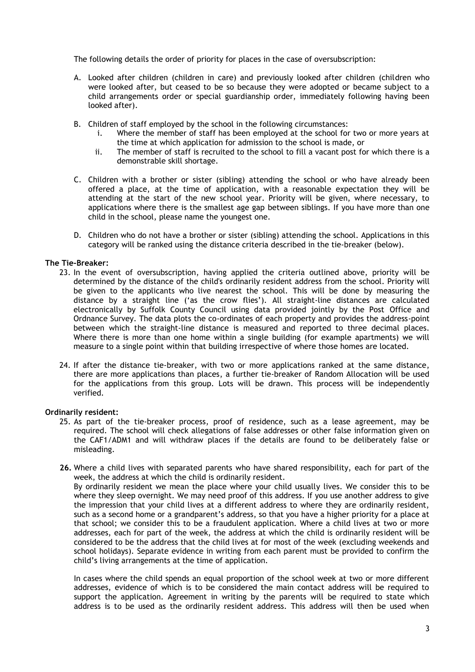The following details the order of priority for places in the case of oversubscription:

- A. Looked after children (children in care) and previously looked after children (children who were looked after, but ceased to be so because they were adopted or became subject to a child arrangements order or special guardianship order, immediately following having been looked after).
- B. Children of staff employed by the school in the following circumstances:
	- i. Where the member of staff has been employed at the school for two or more years at the time at which application for admission to the school is made, or
	- ii. The member of staff is recruited to the school to fill a vacant post for which there is a demonstrable skill shortage.
- C. Children with a brother or sister (sibling) attending the school or who have already been offered a place, at the time of application, with a reasonable expectation they will be attending at the start of the new school year. Priority will be given, where necessary, to applications where there is the smallest age gap between siblings. If you have more than one child in the school, please name the youngest one.
- D. Children who do not have a brother or sister (sibling) attending the school. Applications in this category will be ranked using the distance criteria described in the tie-breaker (below).

# **The Tie-Breaker:**

- 23. In the event of oversubscription, having applied the criteria outlined above, priority will be determined by the distance of the child's ordinarily resident address from the school. Priority will be given to the applicants who live nearest the school. This will be done by measuring the distance by a straight line ('as the crow flies'). All straight-line distances are calculated electronically by Suffolk County Council using data provided jointly by the Post Office and Ordnance Survey. The data plots the co-ordinates of each property and provides the address-point between which the straight-line distance is measured and reported to three decimal places. Where there is more than one home within a single building (for example apartments) we will measure to a single point within that building irrespective of where those homes are located.
- 24. If after the distance tie-breaker, with two or more applications ranked at the same distance, there are more applications than places, a further tie-breaker of Random Allocation will be used for the applications from this group. Lots will be drawn. This process will be independently verified.

#### **Ordinarily resident:**

- 25. As part of the tie-breaker process, proof of residence, such as a lease agreement, may be required. The school will check allegations of false addresses or other false information given on the CAF1/ADM1 and will withdraw places if the details are found to be deliberately false or misleading.
- **26.** Where a child lives with separated parents who have shared responsibility, each for part of the week, the address at which the child is ordinarily resident. By ordinarily resident we mean the place where your child usually lives. We consider this to be where they sleep overnight. We may need proof of this address. If you use another address to give the impression that your child lives at a different address to where they are ordinarily resident, such as a second home or a grandparent's address, so that you have a higher priority for a place at that school; we consider this to be a fraudulent application. Where a child lives at two or more addresses, each for part of the week, the address at which the child is ordinarily resident will be considered to be the address that the child lives at for most of the week (excluding weekends and school holidays). Separate evidence in writing from each parent must be provided to confirm the child's living arrangements at the time of application.

In cases where the child spends an equal proportion of the school week at two or more different addresses, evidence of which is to be considered the main contact address will be required to support the application. Agreement in writing by the parents will be required to state which address is to be used as the ordinarily resident address. This address will then be used when